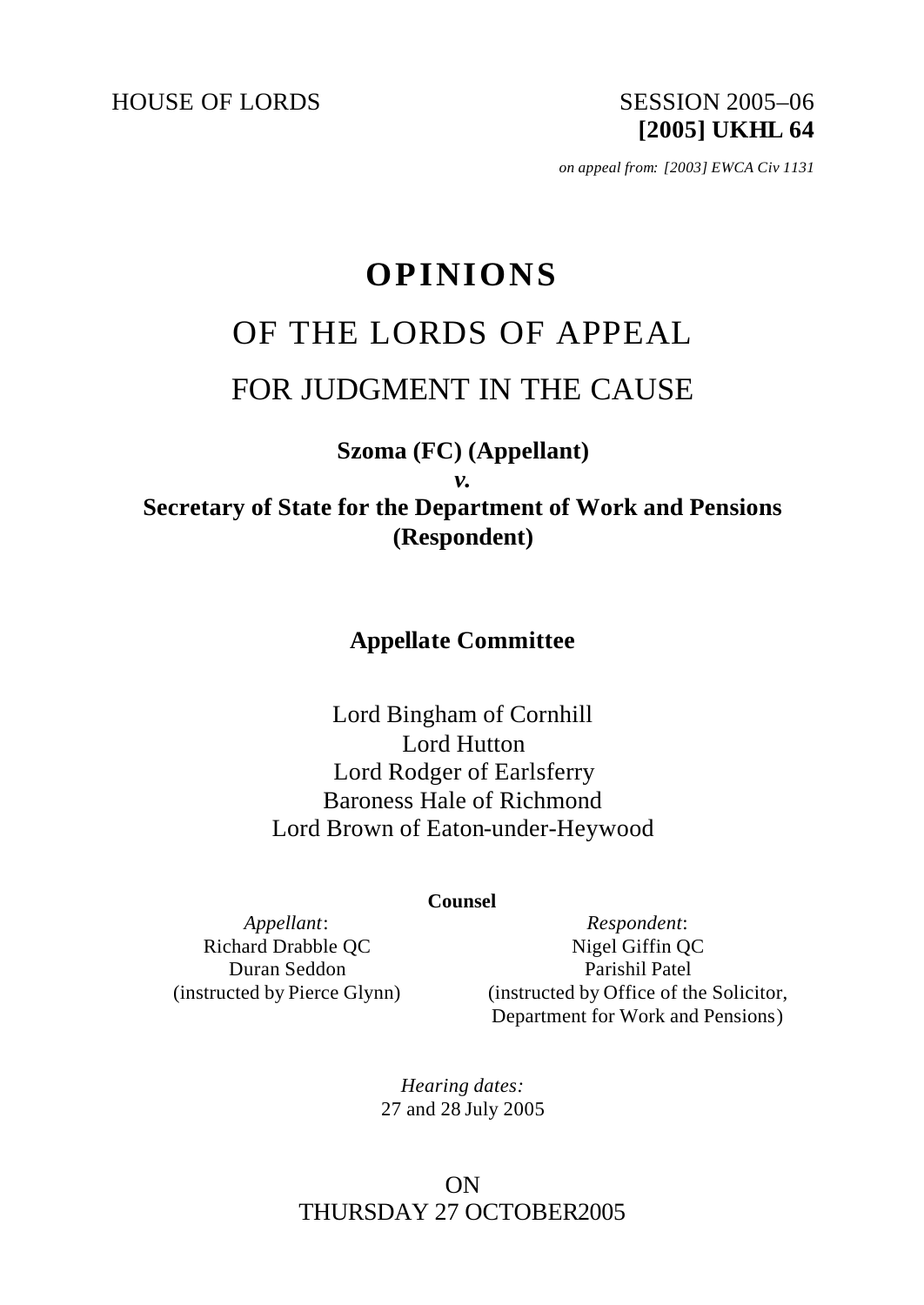HOUSE OF LORDS SESSION 2005-06

**[2005] UKHL 64**

*on appeal from: [2003] EWCA Civ 1131*

# **OPINIONS**

# OF THE LORDS OF APPEAL

# FOR JUDGMENT IN THE CAUSE

## **Szoma (FC) (Appellant)**

*v.*

**Secretary of State for the Department of Work and Pensions (Respondent)**

## **Appellate Committee**

Lord Bingham of Cornhill Lord Hutton Lord Rodger of Earlsferry Baroness Hale of Richmond Lord Brown of Eaton-under-Heywood

#### **Counsel**

*Appellant*: Richard Drabble QC Duran Seddon (instructed by Pierce Glynn)

*Respondent*: Nigel Giffin QC Parishil Patel (instructed by Office of the Solicitor, Department for Work and Pensions)

*Hearing dates:* 27 and 28 July 2005

## ON THURSDAY 27 OCTOBER2005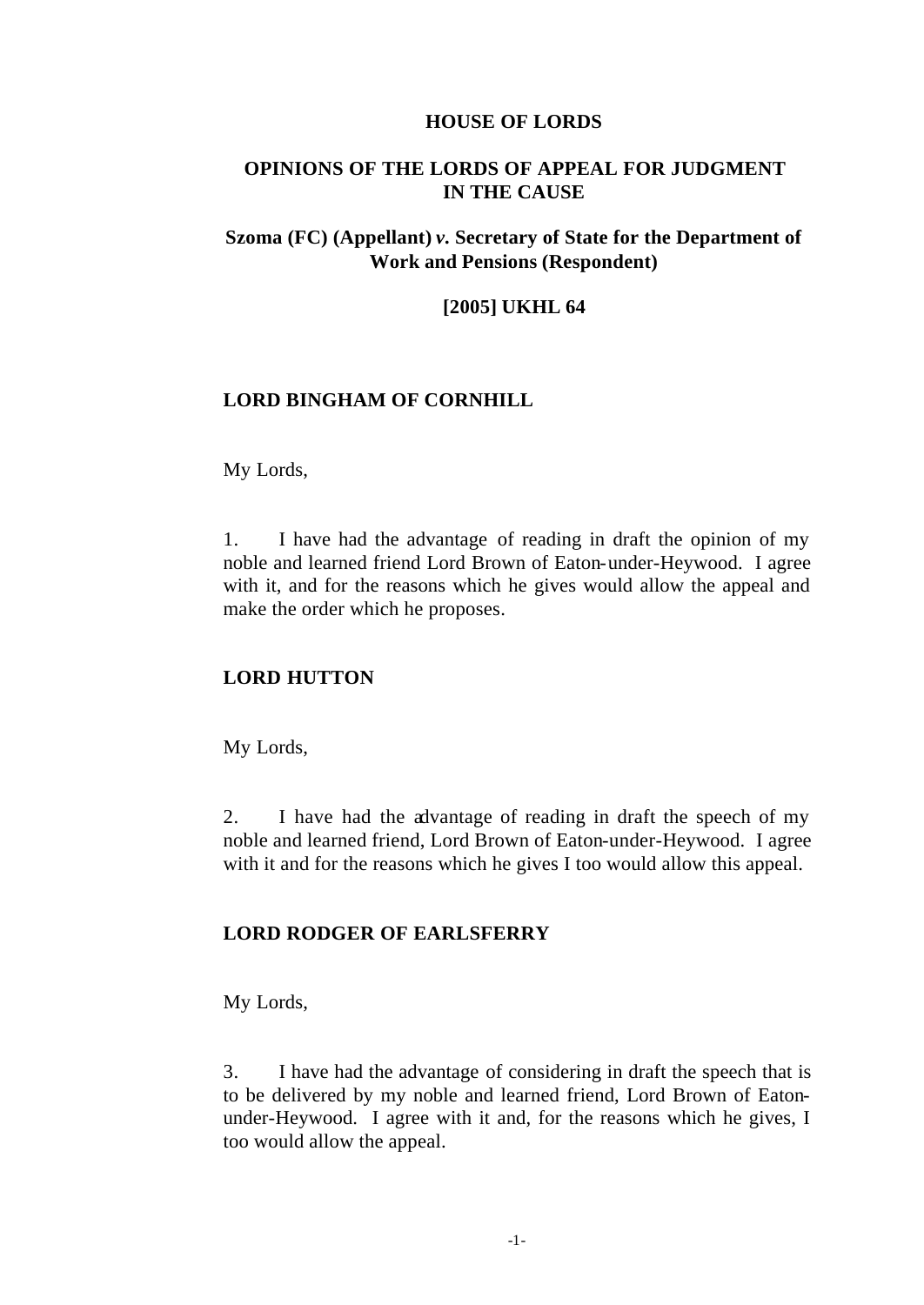#### **HOUSE OF LORDS**

#### **OPINIONS OF THE LORDS OF APPEAL FOR JUDGMENT IN THE CAUSE**

#### **Szoma (FC) (Appellant)** *v.* **Secretary of State for the Department of Work and Pensions (Respondent)**

#### **[2005] UKHL 64**

#### **LORD BINGHAM OF CORNHILL**

#### My Lords,

1. I have had the advantage of reading in draft the opinion of my noble and learned friend Lord Brown of Eaton-under-Heywood. I agree with it, and for the reasons which he gives would allow the appeal and make the order which he proposes.

#### **LORD HUTTON**

My Lords,

2. I have had the advantage of reading in draft the speech of my noble and learned friend, Lord Brown of Eaton-under-Heywood. I agree with it and for the reasons which he gives I too would allow this appeal.

#### **LORD RODGER OF EARLSFERRY**

My Lords,

3. I have had the advantage of considering in draft the speech that is to be delivered by my noble and learned friend, Lord Brown of Eatonunder-Heywood. I agree with it and, for the reasons which he gives, I too would allow the appeal.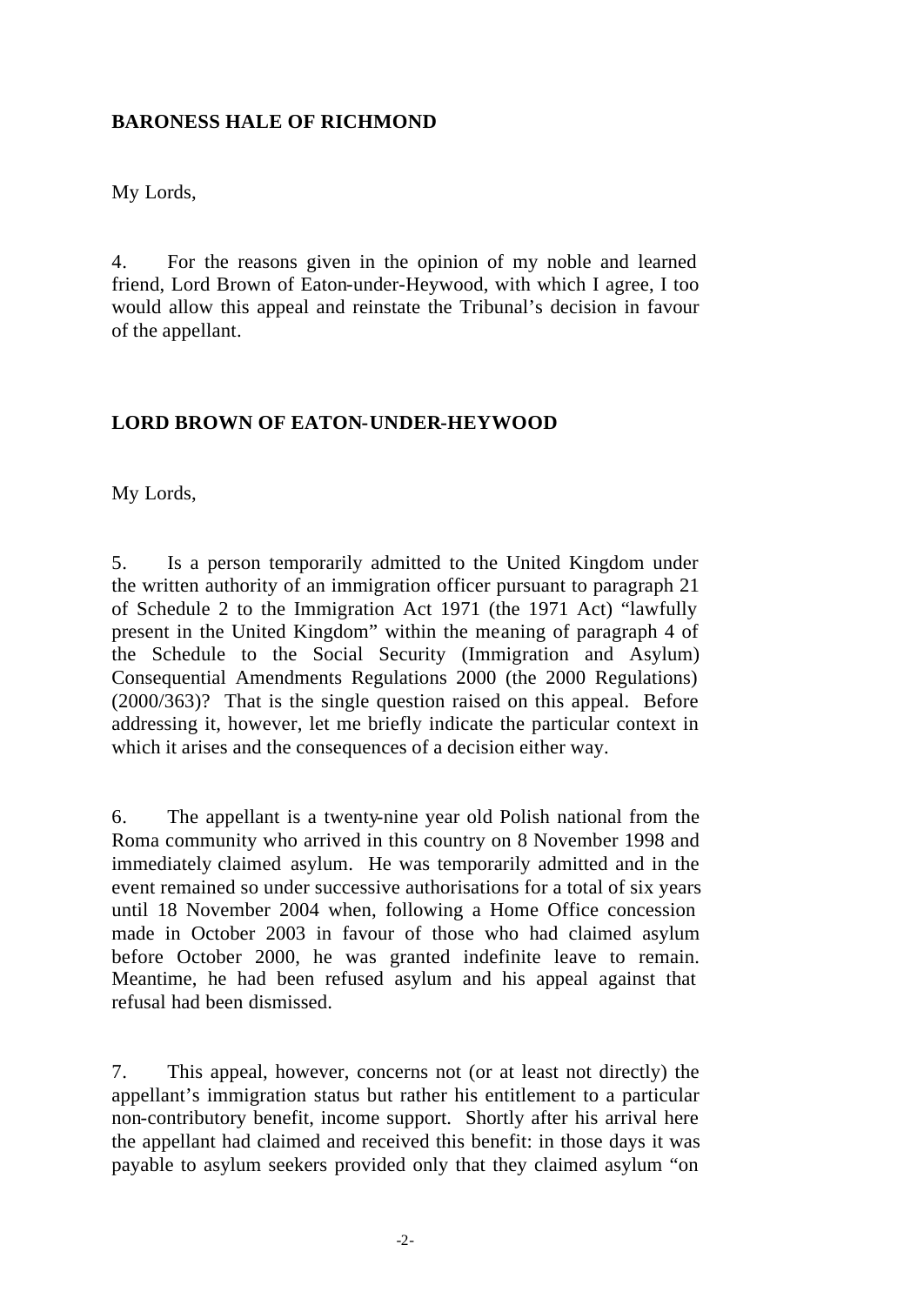#### **BARONESS HALE OF RICHMOND**

My Lords,

4. For the reasons given in the opinion of my noble and learned friend, Lord Brown of Eaton-under-Heywood, with which I agree, I too would allow this appeal and reinstate the Tribunal's decision in favour of the appellant.

#### **LORD BROWN OF EATON-UNDER-HEYWOOD**

My Lords,

5. Is a person temporarily admitted to the United Kingdom under the written authority of an immigration officer pursuant to paragraph 21 of Schedule 2 to the Immigration Act 1971 (the 1971 Act) "lawfully present in the United Kingdom" within the meaning of paragraph 4 of the Schedule to the Social Security (Immigration and Asylum) Consequential Amendments Regulations 2000 (the 2000 Regulations) (2000/363)? That is the single question raised on this appeal. Before addressing it, however, let me briefly indicate the particular context in which it arises and the consequences of a decision either way.

6. The appellant is a twenty-nine year old Polish national from the Roma community who arrived in this country on 8 November 1998 and immediately claimed asylum. He was temporarily admitted and in the event remained so under successive authorisations for a total of six years until 18 November 2004 when, following a Home Office concession made in October 2003 in favour of those who had claimed asylum before October 2000, he was granted indefinite leave to remain. Meantime, he had been refused asylum and his appeal against that refusal had been dismissed.

7. This appeal, however, concerns not (or at least not directly) the appellant's immigration status but rather his entitlement to a particular non-contributory benefit, income support. Shortly after his arrival here the appellant had claimed and received this benefit: in those days it was payable to asylum seekers provided only that they claimed asylum "on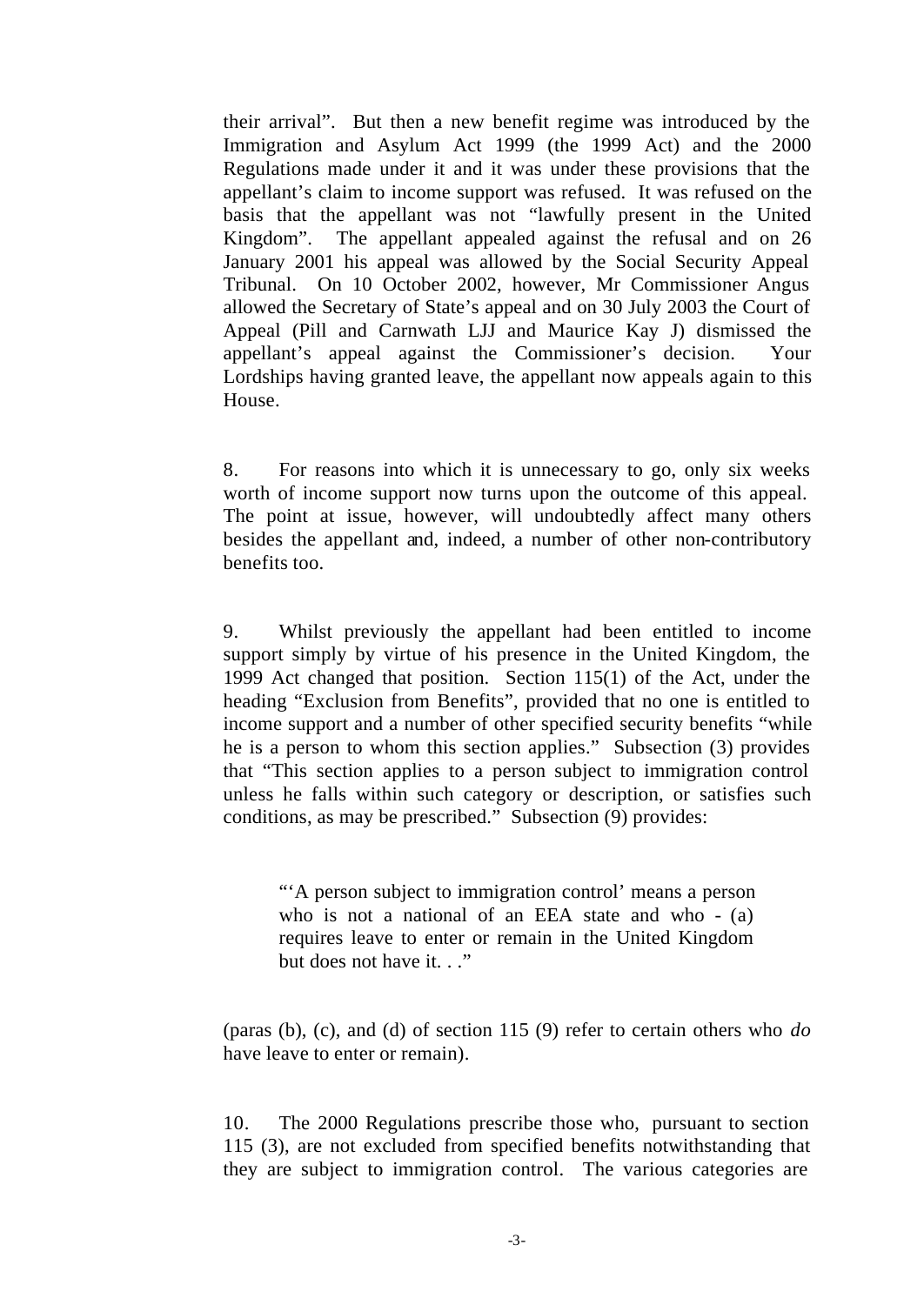their arrival". But then a new benefit regime was introduced by the Immigration and Asylum Act 1999 (the 1999 Act) and the 2000 Regulations made under it and it was under these provisions that the appellant's claim to income support was refused. It was refused on the basis that the appellant was not "lawfully present in the United Kingdom". The appellant appealed against the refusal and on 26 January 2001 his appeal was allowed by the Social Security Appeal Tribunal. On 10 October 2002, however, Mr Commissioner Angus allowed the Secretary of State's appeal and on 30 July 2003 the Court of Appeal (Pill and Carnwath LJJ and Maurice Kay J) dismissed the appellant's appeal against the Commissioner's decision. Your Lordships having granted leave, the appellant now appeals again to this House.

8. For reasons into which it is unnecessary to go, only six weeks worth of income support now turns upon the outcome of this appeal. The point at issue, however, will undoubtedly affect many others besides the appellant and, indeed, a number of other non-contributory benefits too.

9. Whilst previously the appellant had been entitled to income support simply by virtue of his presence in the United Kingdom, the 1999 Act changed that position. Section 115(1) of the Act, under the heading "Exclusion from Benefits", provided that no one is entitled to income support and a number of other specified security benefits "while he is a person to whom this section applies." Subsection (3) provides that "This section applies to a person subject to immigration control unless he falls within such category or description, or satisfies such conditions, as may be prescribed." Subsection (9) provides:

"'A person subject to immigration control' means a person who is not a national of an EEA state and who - (a) requires leave to enter or remain in the United Kingdom but does not have it...."

(paras (b), (c), and (d) of section 115 (9) refer to certain others who *do* have leave to enter or remain).

10. The 2000 Regulations prescribe those who, pursuant to section 115 (3), are not excluded from specified benefits notwithstanding that they are subject to immigration control. The various categories are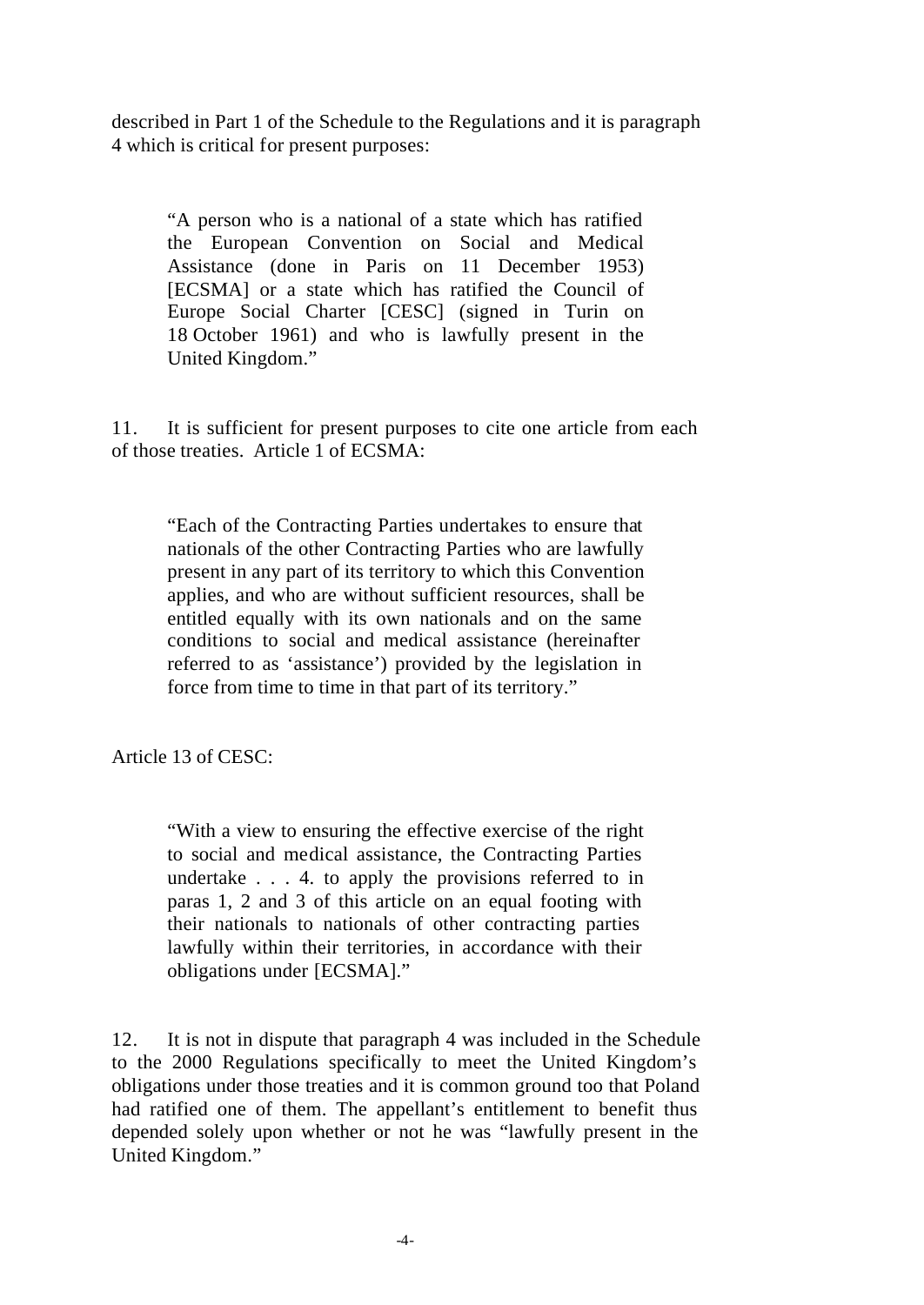described in Part 1 of the Schedule to the Regulations and it is paragraph 4 which is critical for present purposes:

"A person who is a national of a state which has ratified the European Convention on Social and Medical Assistance (done in Paris on 11 December 1953) [ECSMA] or a state which has ratified the Council of Europe Social Charter [CESC] (signed in Turin on 18 October 1961) and who is lawfully present in the United Kingdom."

11. It is sufficient for present purposes to cite one article from each of those treaties. Article 1 of ECSMA:

"Each of the Contracting Parties undertakes to ensure that nationals of the other Contracting Parties who are lawfully present in any part of its territory to which this Convention applies, and who are without sufficient resources, shall be entitled equally with its own nationals and on the same conditions to social and medical assistance (hereinafter referred to as 'assistance') provided by the legislation in force from time to time in that part of its territory."

Article 13 of CESC:

"With a view to ensuring the effective exercise of the right to social and medical assistance, the Contracting Parties undertake . . . 4. to apply the provisions referred to in paras 1, 2 and 3 of this article on an equal footing with their nationals to nationals of other contracting parties lawfully within their territories, in accordance with their obligations under [ECSMA]."

12. It is not in dispute that paragraph 4 was included in the Schedule to the 2000 Regulations specifically to meet the United Kingdom's obligations under those treaties and it is common ground too that Poland had ratified one of them. The appellant's entitlement to benefit thus depended solely upon whether or not he was "lawfully present in the United Kingdom."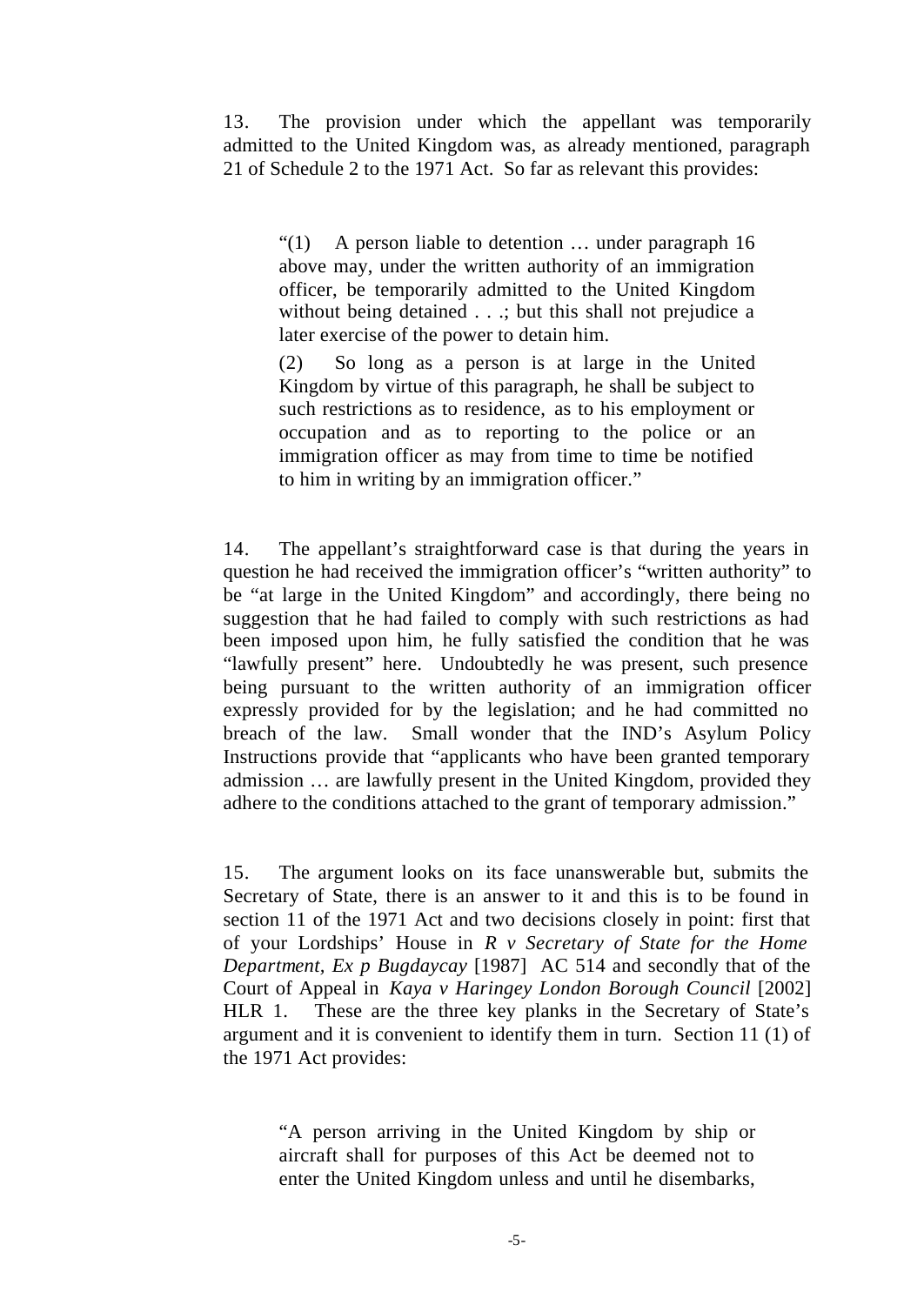13. The provision under which the appellant was temporarily admitted to the United Kingdom was, as already mentioned, paragraph 21 of Schedule 2 to the 1971 Act. So far as relevant this provides:

"(1) A person liable to detention … under paragraph 16 above may, under the written authority of an immigration officer, be temporarily admitted to the United Kingdom without being detained . . .; but this shall not prejudice a later exercise of the power to detain him.

(2) So long as a person is at large in the United Kingdom by virtue of this paragraph, he shall be subject to such restrictions as to residence, as to his employment or occupation and as to reporting to the police or an immigration officer as may from time to time be notified to him in writing by an immigration officer."

14. The appellant's straightforward case is that during the years in question he had received the immigration officer's "written authority" to be "at large in the United Kingdom" and accordingly, there being no suggestion that he had failed to comply with such restrictions as had been imposed upon him, he fully satisfied the condition that he was "lawfully present" here. Undoubtedly he was present, such presence being pursuant to the written authority of an immigration officer expressly provided for by the legislation; and he had committed no breach of the law. Small wonder that the IND's Asylum Policy Instructions provide that "applicants who have been granted temporary admission … are lawfully present in the United Kingdom, provided they adhere to the conditions attached to the grant of temporary admission."

15. The argument looks on its face unanswerable but, submits the Secretary of State, there is an answer to it and this is to be found in section 11 of the 1971 Act and two decisions closely in point: first that of your Lordships' House in *R v Secretary of State for the Home Department, Ex p Bugdaycay* [1987] AC 514 and secondly that of the Court of Appeal in *Kaya v Haringey London Borough Council* [2002] HLR 1. These are the three key planks in the Secretary of State's argument and it is convenient to identify them in turn. Section 11 (1) of the 1971 Act provides:

"A person arriving in the United Kingdom by ship or aircraft shall for purposes of this Act be deemed not to enter the United Kingdom unless and until he disembarks,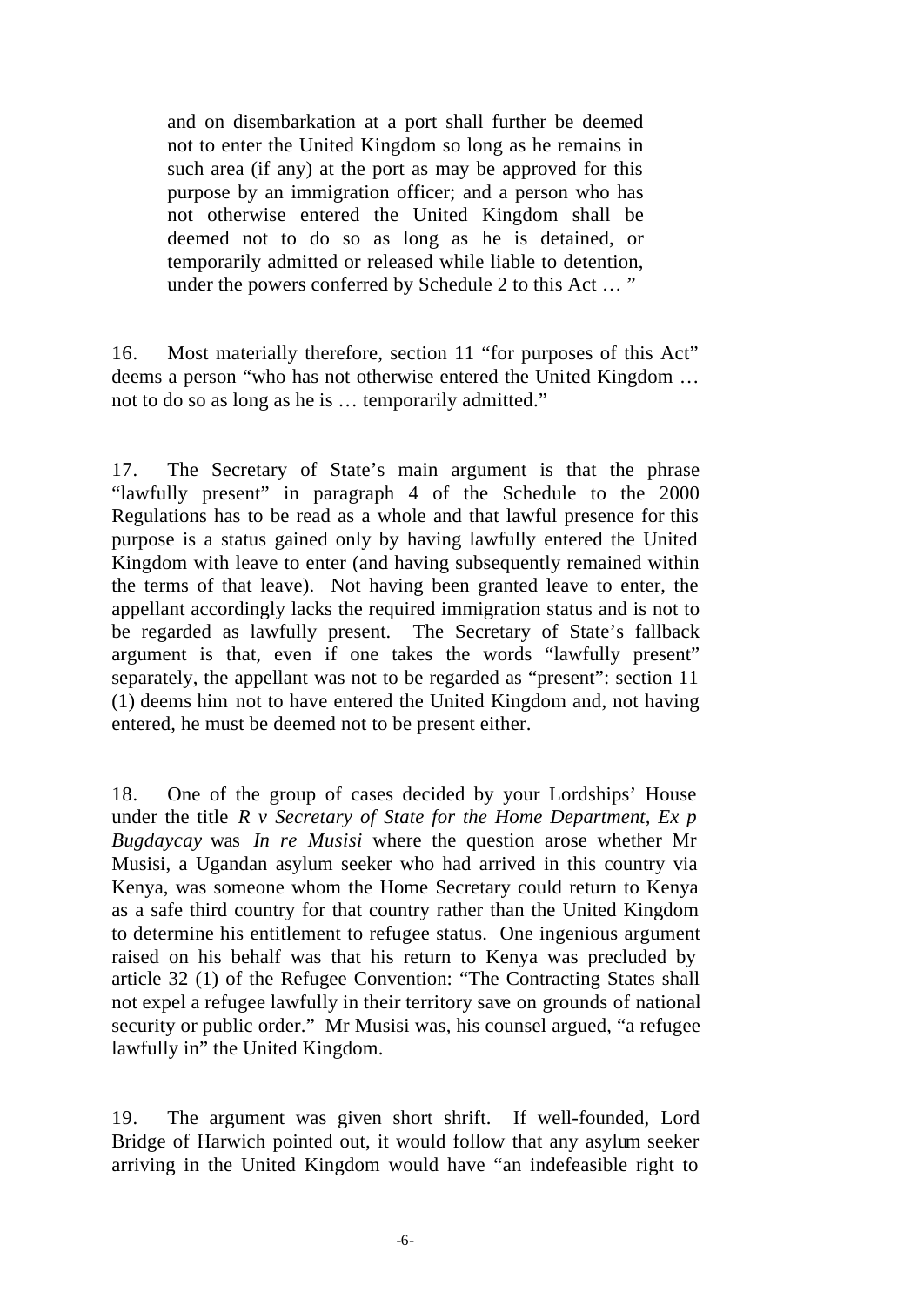and on disembarkation at a port shall further be deemed not to enter the United Kingdom so long as he remains in such area (if any) at the port as may be approved for this purpose by an immigration officer; and a person who has not otherwise entered the United Kingdom shall be deemed not to do so as long as he is detained, or temporarily admitted or released while liable to detention, under the powers conferred by Schedule 2 to this Act … "

16. Most materially therefore, section 11 "for purposes of this Act" deems a person "who has not otherwise entered the United Kingdom … not to do so as long as he is … temporarily admitted."

17. The Secretary of State's main argument is that the phrase "lawfully present" in paragraph 4 of the Schedule to the 2000 Regulations has to be read as a whole and that lawful presence for this purpose is a status gained only by having lawfully entered the United Kingdom with leave to enter (and having subsequently remained within the terms of that leave). Not having been granted leave to enter, the appellant accordingly lacks the required immigration status and is not to be regarded as lawfully present. The Secretary of State's fallback argument is that, even if one takes the words "lawfully present" separately, the appellant was not to be regarded as "present": section 11 (1) deems him not to have entered the United Kingdom and, not having entered, he must be deemed not to be present either.

18. One of the group of cases decided by your Lordships' House under the title *R v Secretary of State for the Home Department, Ex p Bugdaycay* was *In re Musisi* where the question arose whether Mr Musisi, a Ugandan asylum seeker who had arrived in this country via Kenya, was someone whom the Home Secretary could return to Kenya as a safe third country for that country rather than the United Kingdom to determine his entitlement to refugee status. One ingenious argument raised on his behalf was that his return to Kenya was precluded by article 32 (1) of the Refugee Convention: "The Contracting States shall not expel a refugee lawfully in their territory save on grounds of national security or public order." Mr Musisi was, his counsel argued, "a refugee lawfully in" the United Kingdom.

19. The argument was given short shrift. If well-founded, Lord Bridge of Harwich pointed out, it would follow that any asylum seeker arriving in the United Kingdom would have "an indefeasible right to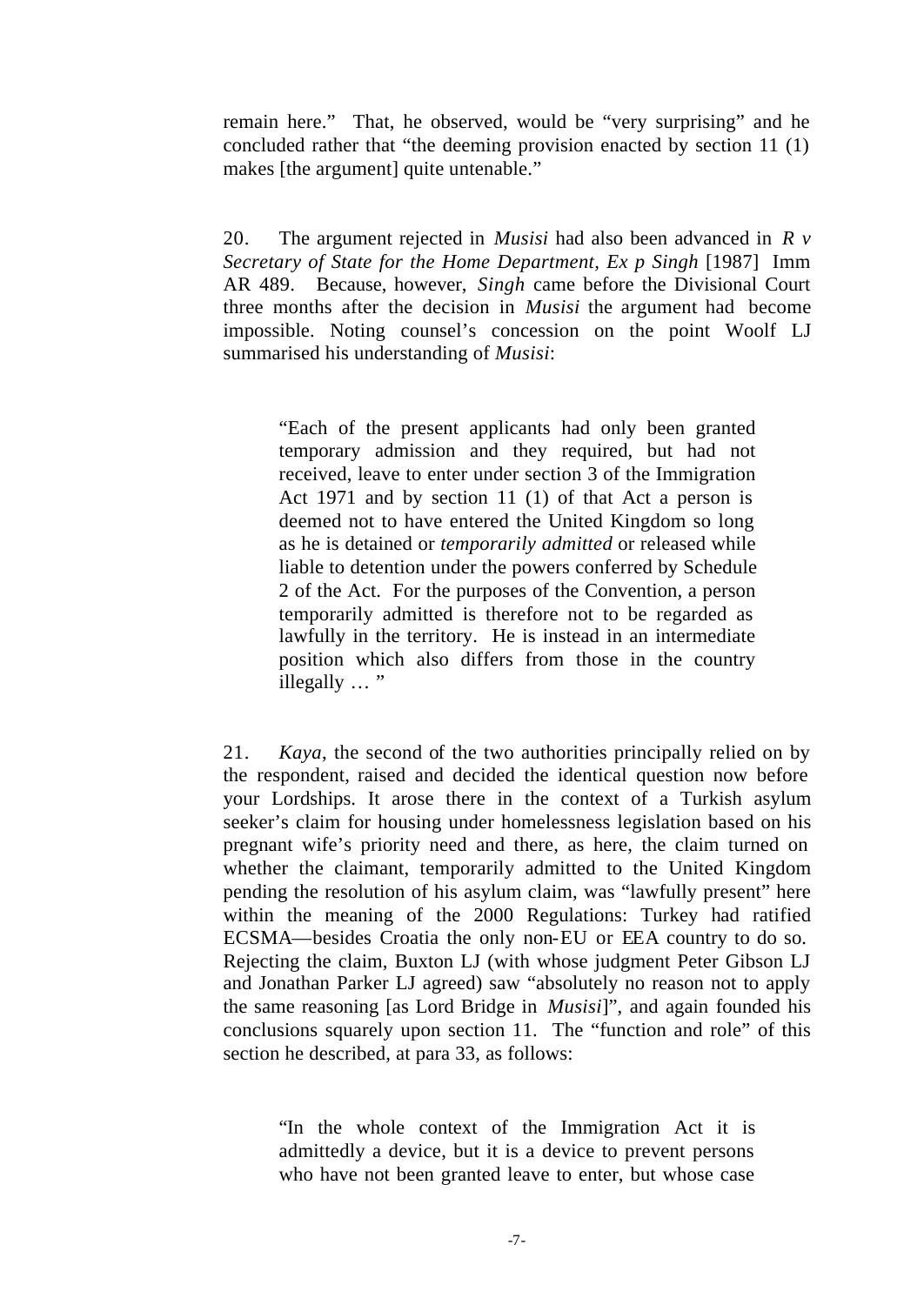remain here." That, he observed, would be "very surprising" and he concluded rather that "the deeming provision enacted by section 11 (1) makes [the argument] quite untenable."

20. The argument rejected in *Musisi* had also been advanced in *R v Secretary of State for the Home Department, Ex p Singh* [1987] Imm AR 489. Because, however, *Singh* came before the Divisional Court three months after the decision in *Musisi* the argument had become impossible. Noting counsel's concession on the point Woolf LJ summarised his understanding of *Musisi*:

"Each of the present applicants had only been granted temporary admission and they required, but had not received, leave to enter under section 3 of the Immigration Act 1971 and by section 11 (1) of that Act a person is deemed not to have entered the United Kingdom so long as he is detained or *temporarily admitted* or released while liable to detention under the powers conferred by Schedule 2 of the Act. For the purposes of the Convention, a person temporarily admitted is therefore not to be regarded as lawfully in the territory. He is instead in an intermediate position which also differs from those in the country illegally … "

21. *Kaya*, the second of the two authorities principally relied on by the respondent, raised and decided the identical question now before your Lordships. It arose there in the context of a Turkish asylum seeker's claim for housing under homelessness legislation based on his pregnant wife's priority need and there, as here, the claim turned on whether the claimant, temporarily admitted to the United Kingdom pending the resolution of his asylum claim, was "lawfully present" here within the meaning of the 2000 Regulations: Turkey had ratified ECSMA—besides Croatia the only non-EU or EEA country to do so. Rejecting the claim, Buxton LJ (with whose judgment Peter Gibson LJ and Jonathan Parker LJ agreed) saw "absolutely no reason not to apply the same reasoning [as Lord Bridge in *Musisi*]", and again founded his conclusions squarely upon section 11. The "function and role" of this section he described, at para 33, as follows:

"In the whole context of the Immigration Act it is admittedly a device, but it is a device to prevent persons who have not been granted leave to enter, but whose case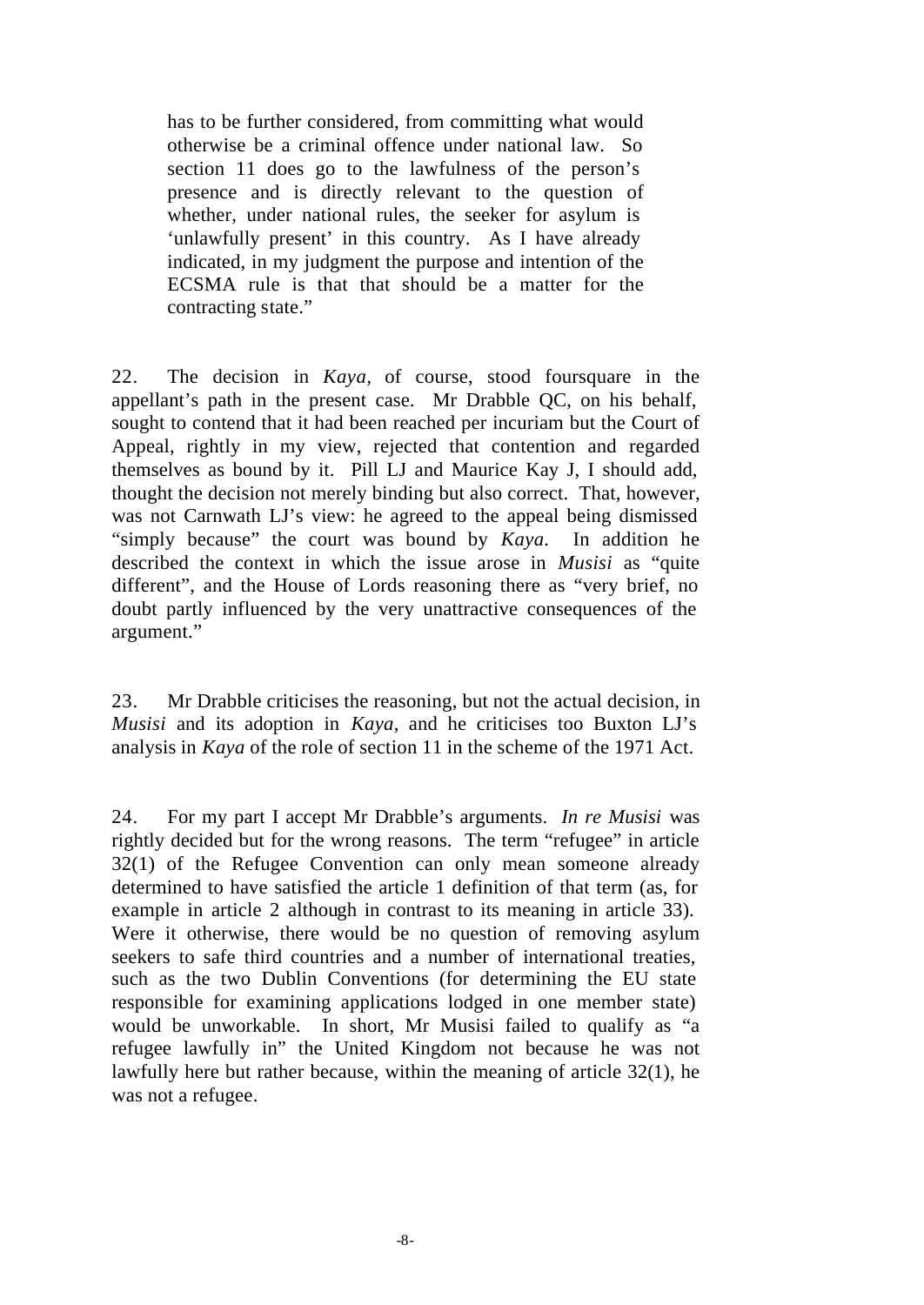has to be further considered, from committing what would otherwise be a criminal offence under national law. So section 11 does go to the lawfulness of the person's presence and is directly relevant to the question of whether, under national rules, the seeker for asylum is 'unlawfully present' in this country. As I have already indicated, in my judgment the purpose and intention of the ECSMA rule is that that should be a matter for the contracting state."

22. The decision in *Kaya,* of course, stood foursquare in the appellant's path in the present case. Mr Drabble QC, on his behalf, sought to contend that it had been reached per incuriam but the Court of Appeal, rightly in my view, rejected that contention and regarded themselves as bound by it. Pill LJ and Maurice Kay J, I should add, thought the decision not merely binding but also correct. That, however, was not Carnwath LJ's view: he agreed to the appeal being dismissed "simply because" the court was bound by *Kaya.* In addition he described the context in which the issue arose in *Musisi* as "quite different", and the House of Lords reasoning there as "very brief, no doubt partly influenced by the very unattractive consequences of the argument."

23. Mr Drabble criticises the reasoning, but not the actual decision, in *Musisi* and its adoption in *Kaya*, and he criticises too Buxton LJ's analysis in *Kaya* of the role of section 11 in the scheme of the 1971 Act.

24. For my part I accept Mr Drabble's arguments. *In re Musisi* was rightly decided but for the wrong reasons. The term "refugee" in article 32(1) of the Refugee Convention can only mean someone already determined to have satisfied the article 1 definition of that term (as, for example in article 2 although in contrast to its meaning in article 33). Were it otherwise, there would be no question of removing asylum seekers to safe third countries and a number of international treaties, such as the two Dublin Conventions (for determining the EU state responsible for examining applications lodged in one member state) would be unworkable. In short, Mr Musisi failed to qualify as "a refugee lawfully in" the United Kingdom not because he was not lawfully here but rather because, within the meaning of article 32(1), he was not a refugee.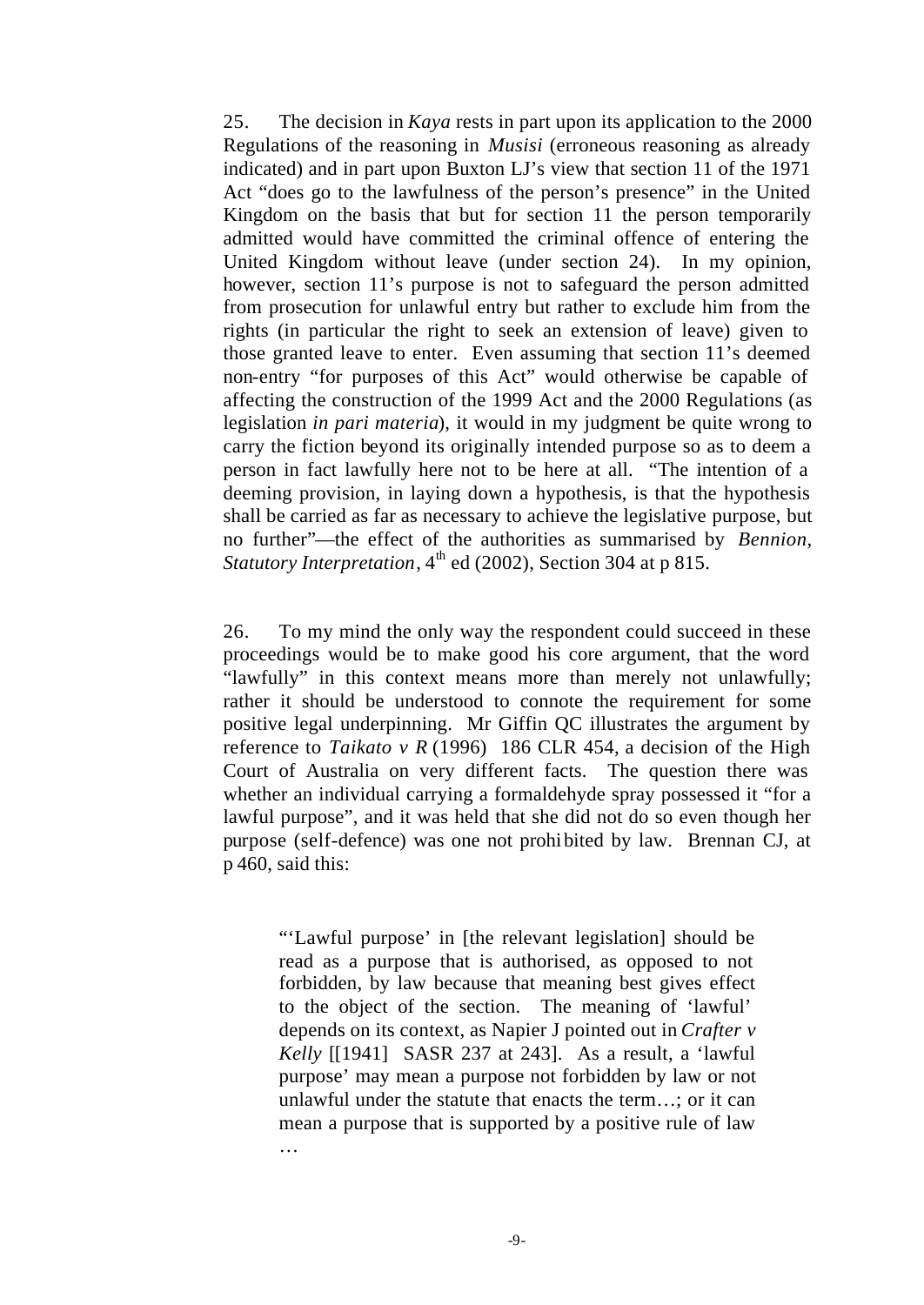25. The decision in *Kaya* rests in part upon its application to the 2000 Regulations of the reasoning in *Musisi* (erroneous reasoning as already indicated) and in part upon Buxton LJ's view that section 11 of the 1971 Act "does go to the lawfulness of the person's presence" in the United Kingdom on the basis that but for section 11 the person temporarily admitted would have committed the criminal offence of entering the United Kingdom without leave (under section 24). In my opinion, however, section 11's purpose is not to safeguard the person admitted from prosecution for unlawful entry but rather to exclude him from the rights (in particular the right to seek an extension of leave) given to those granted leave to enter. Even assuming that section 11's deemed non-entry "for purposes of this Act" would otherwise be capable of affecting the construction of the 1999 Act and the 2000 Regulations (as legislation *in pari materia*), it would in my judgment be quite wrong to carry the fiction beyond its originally intended purpose so as to deem a person in fact lawfully here not to be here at all. "The intention of a deeming provision, in laying down a hypothesis, is that the hypothesis shall be carried as far as necessary to achieve the legislative purpose, but no further"—the effect of the authorities as summarised by *Bennion, Statutory Interpretation*,  $4<sup>th</sup>$  ed (2002), Section 304 at p 815.

26. To my mind the only way the respondent could succeed in these proceedings would be to make good his core argument, that the word "lawfully" in this context means more than merely not unlawfully; rather it should be understood to connote the requirement for some positive legal underpinning. Mr Giffin QC illustrates the argument by reference to *Taikato v R* (1996) 186 CLR 454, a decision of the High Court of Australia on very different facts. The question there was whether an individual carrying a formaldehyde spray possessed it "for a lawful purpose", and it was held that she did not do so even though her purpose (self-defence) was one not prohibited by law. Brennan CJ, at p 460, said this:

"'Lawful purpose' in [the relevant legislation] should be read as a purpose that is authorised, as opposed to not forbidden, by law because that meaning best gives effect to the object of the section. The meaning of 'lawful' depends on its context, as Napier J pointed out in *Crafter v Kelly* [[1941] SASR 237 at 243]. As a result, a 'lawful purpose' may mean a purpose not forbidden by law or not unlawful under the statute that enacts the term…; or it can mean a purpose that is supported by a positive rule of law …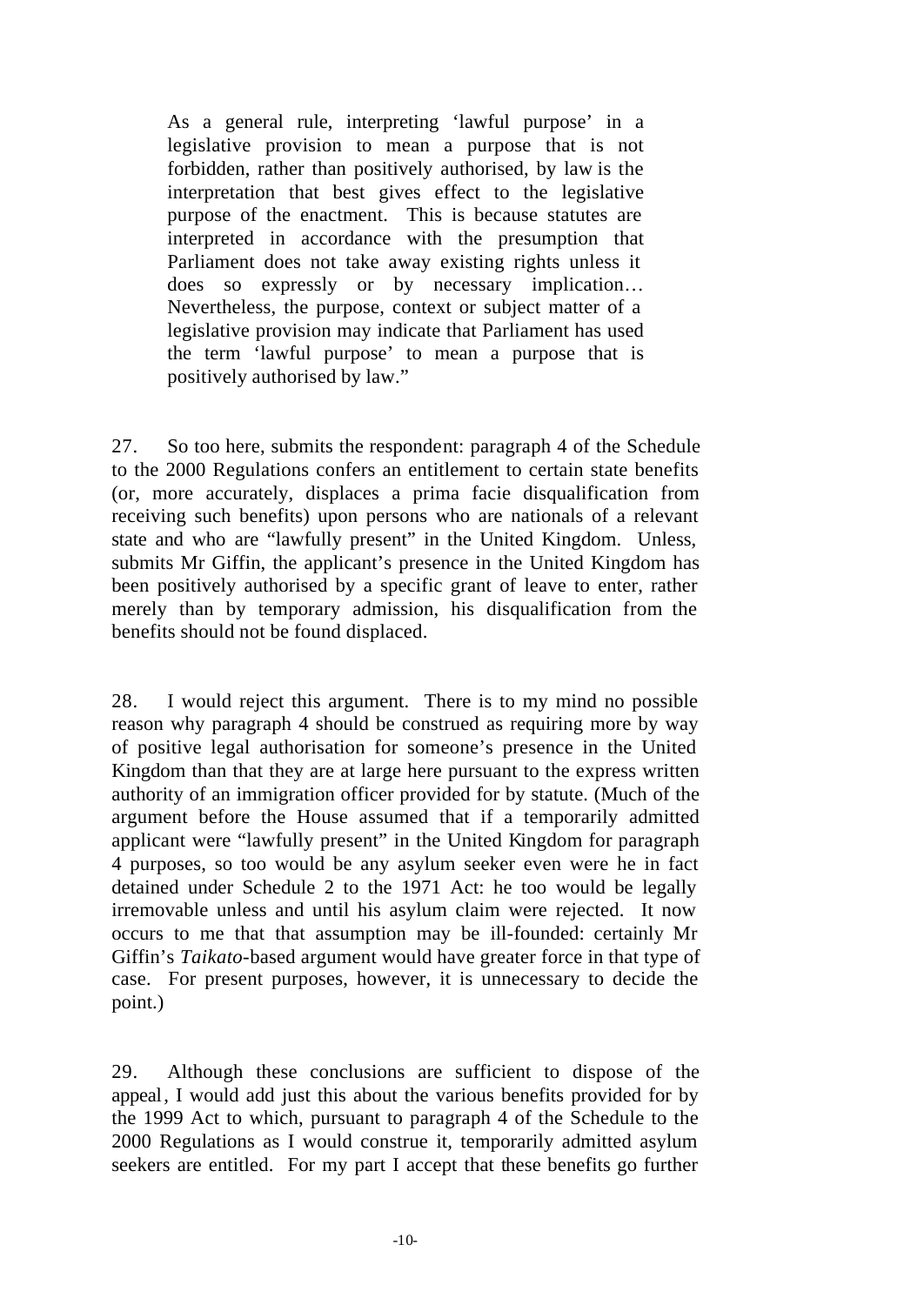As a general rule, interpreting 'lawful purpose' in a legislative provision to mean a purpose that is not forbidden, rather than positively authorised, by law is the interpretation that best gives effect to the legislative purpose of the enactment. This is because statutes are interpreted in accordance with the presumption that Parliament does not take away existing rights unless it does so expressly or by necessary implication… Nevertheless, the purpose, context or subject matter of a legislative provision may indicate that Parliament has used the term 'lawful purpose' to mean a purpose that is positively authorised by law."

27. So too here, submits the respondent: paragraph 4 of the Schedule to the 2000 Regulations confers an entitlement to certain state benefits (or, more accurately, displaces a prima facie disqualification from receiving such benefits) upon persons who are nationals of a relevant state and who are "lawfully present" in the United Kingdom. Unless, submits Mr Giffin, the applicant's presence in the United Kingdom has been positively authorised by a specific grant of leave to enter, rather merely than by temporary admission, his disqualification from the benefits should not be found displaced.

28. I would reject this argument. There is to my mind no possible reason why paragraph 4 should be construed as requiring more by way of positive legal authorisation for someone's presence in the United Kingdom than that they are at large here pursuant to the express written authority of an immigration officer provided for by statute. (Much of the argument before the House assumed that if a temporarily admitted applicant were "lawfully present" in the United Kingdom for paragraph 4 purposes, so too would be any asylum seeker even were he in fact detained under Schedule 2 to the 1971 Act: he too would be legally irremovable unless and until his asylum claim were rejected. It now occurs to me that that assumption may be ill-founded: certainly Mr Giffin's *Taikato*-based argument would have greater force in that type of case. For present purposes, however, it is unnecessary to decide the point.)

29. Although these conclusions are sufficient to dispose of the appeal, I would add just this about the various benefits provided for by the 1999 Act to which, pursuant to paragraph 4 of the Schedule to the 2000 Regulations as I would construe it, temporarily admitted asylum seekers are entitled. For my part I accept that these benefits go further